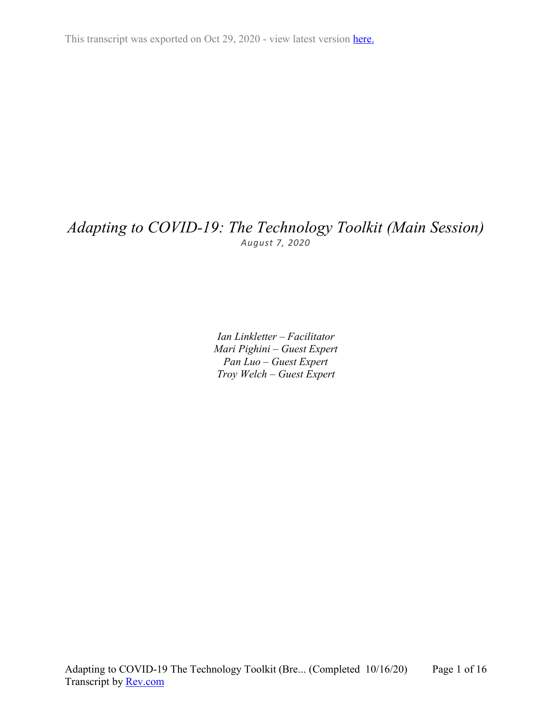# *Adapting to COVID-19: The Technology Toolkit (Main Session) August 7, 2020*

*Ian Linkletter – Facilitator Mari Pighini – Guest Expert Pan Luo – Guest Expert Troy Welch – Guest Expert*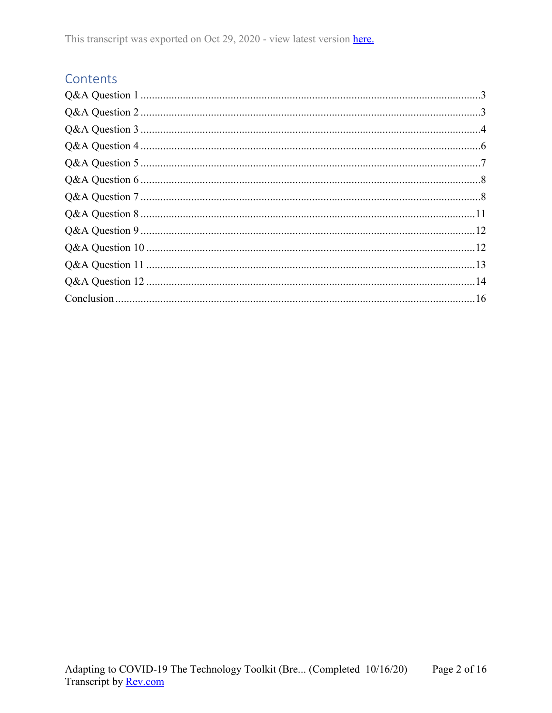# Contents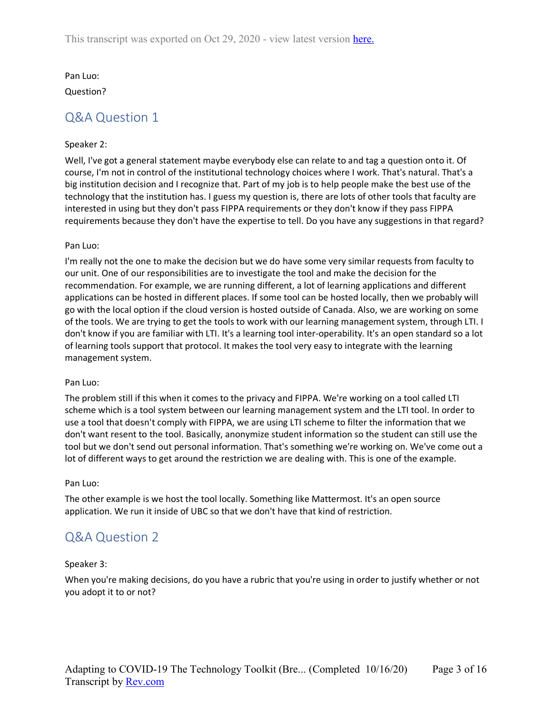Pan Luo:

<span id="page-2-0"></span>Question?

# Q&A Question 1

### Speaker 2:

Well, I've got a general statement maybe everybody else can relate to and tag a question onto it. Of course, I'm not in control of the institutional technology choices where I work. That's natural. That's a big institution decision and I recognize that. Part of my job is to help people make the best use of the technology that the institution has. I guess my question is, there are lots of other tools that faculty are interested in using but they don't pass FIPPA requirements or they don't know if they pass FIPPA requirements because they don't have the expertise to tell. Do you have any suggestions in that regard?

#### Pan Luo:

I'm really not the one to make the decision but we do have some very similar requests from faculty to our unit. One of our responsibilities are to investigate the tool and make the decision for the recommendation. For example, we are running different, a lot of learning applications and different applications can be hosted in different places. If some tool can be hosted locally, then we probably will go with the local option if the cloud version is hosted outside of Canada. Also, we are working on some of the tools. We are trying to get the tools to work with our learning management system, through LTI. I don't know if you are familiar with LTI. It's a learning tool inter-operability. It's an open standard so a lot of learning tools support that protocol. It makes the tool very easy to integrate with the learning management system.

#### Pan Luo:

The problem still if this when it comes to the privacy and FIPPA. We're working on a tool called LTI scheme which is a tool system between our learning management system and the LTI tool. In order to use a tool that doesn't comply with FIPPA, we are using LTI scheme to filter the information that we don't want resent to the tool. Basically, anonymize student information so the student can still use the tool but we don't send out personal information. That's something we're working on. We've come out a lot of different ways to get around the restriction we are dealing with. This is one of the example.

#### Pan Luo:

The other example is we host the tool locally. Something like Mattermost. It's an open source application. We run it inside of UBC so that we don't have that kind of restriction.

# <span id="page-2-1"></span>Q&A Question 2

# Speaker 3:

When you're making decisions, do you have a rubric that you're using in order to justify whether or not you adopt it to or not?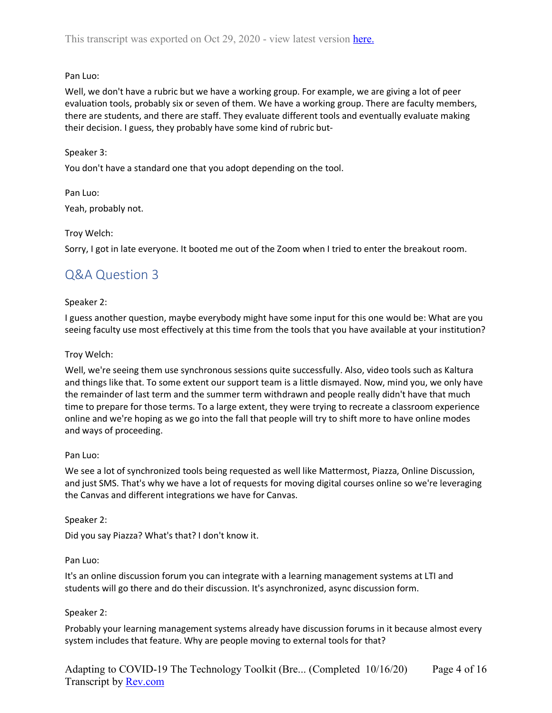# Pan Luo:

Well, we don't have a rubric but we have a working group. For example, we are giving a lot of peer evaluation tools, probably six or seven of them. We have a working group. There are faculty members, there are students, and there are staff. They evaluate different tools and eventually evaluate making their decision. I guess, they probably have some kind of rubric but-

# Speaker 3:

You don't have a standard one that you adopt depending on the tool.

Pan Luo: Yeah, probably not.

### Troy Welch:

<span id="page-3-0"></span>Sorry, I got in late everyone. It booted me out of the Zoom when I tried to enter the breakout room.

# Q&A Question 3

### Speaker 2:

I guess another question, maybe everybody might have some input for this one would be: What are you seeing faculty use most effectively at this time from the tools that you have available at your institution?

### Troy Welch:

Well, we're seeing them use synchronous sessions quite successfully. Also, video tools such as Kaltura and things like that. To some extent our support team is a little dismayed. Now, mind you, we only have the remainder of last term and the summer term withdrawn and people really didn't have that much time to prepare for those terms. To a large extent, they were trying to recreate a classroom experience online and we're hoping as we go into the fall that people will try to shift more to have online modes and ways of proceeding.

#### Pan Luo:

We see a lot of synchronized tools being requested as well like Mattermost, Piazza, Online Discussion, and just SMS. That's why we have a lot of requests for moving digital courses online so we're leveraging the Canvas and different integrations we have for Canvas.

Speaker 2:

Did you say Piazza? What's that? I don't know it.

#### Pan Luo:

It's an online discussion forum you can integrate with a learning management systems at LTI and students will go there and do their discussion. It's asynchronized, async discussion form.

# Speaker 2:

Probably your learning management systems already have discussion forums in it because almost every system includes that feature. Why are people moving to external tools for that?

Adapting to COVID-19 The Technology Toolkit (Bre... (Completed 10/16/20) Transcript by **Rev.com** Page 4 of 16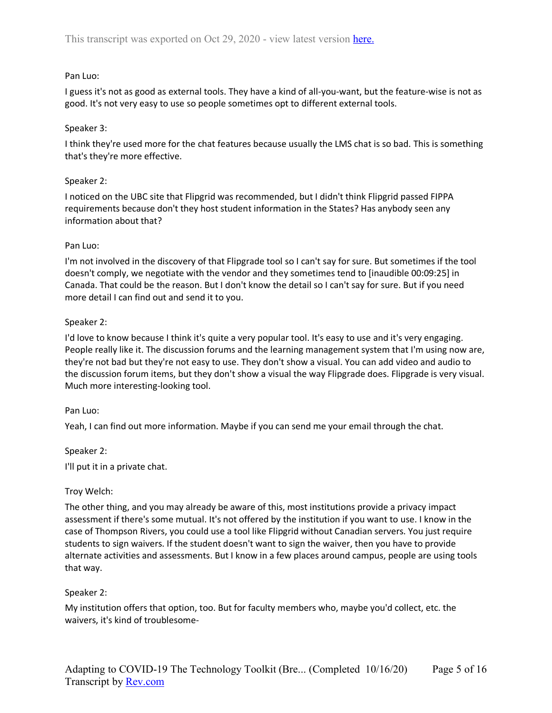### Pan Luo:

I guess it's not as good as external tools. They have a kind of all-you-want, but the feature-wise is not as good. It's not very easy to use so people sometimes opt to different external tools.

### Speaker 3:

I think they're used more for the chat features because usually the LMS chat is so bad. This is something that's they're more effective.

### Speaker 2:

I noticed on the UBC site that Flipgrid was recommended, but I didn't think Flipgrid passed FIPPA requirements because don't they host student information in the States? Has anybody seen any information about that?

### Pan Luo:

I'm not involved in the discovery of that Flipgrade tool so I can't say for sure. But sometimes if the tool doesn't comply, we negotiate with the vendor and they sometimes tend to [inaudible 00:09:25] in Canada. That could be the reason. But I don't know the detail so I can't say for sure. But if you need more detail I can find out and send it to you.

### Speaker 2:

I'd love to know because I think it's quite a very popular tool. It's easy to use and it's very engaging. People really like it. The discussion forums and the learning management system that I'm using now are, they're not bad but they're not easy to use. They don't show a visual. You can add video and audio to the discussion forum items, but they don't show a visual the way Flipgrade does. Flipgrade is very visual. Much more interesting-looking tool.

#### Pan Luo:

Yeah, I can find out more information. Maybe if you can send me your email through the chat.

#### Speaker 2:

I'll put it in a private chat.

#### Troy Welch:

The other thing, and you may already be aware of this, most institutions provide a privacy impact assessment if there's some mutual. It's not offered by the institution if you want to use. I know in the case of Thompson Rivers, you could use a tool like Flipgrid without Canadian servers. You just require students to sign waivers. If the student doesn't want to sign the waiver, then you have to provide alternate activities and assessments. But I know in a few places around campus, people are using tools that way.

#### Speaker 2:

My institution offers that option, too. But for faculty members who, maybe you'd collect, etc. the waivers, it's kind of troublesome-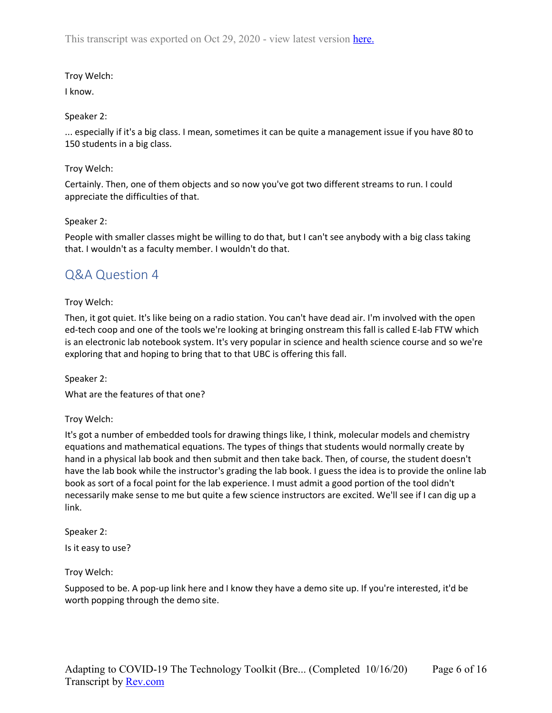# Troy Welch:

# I know.

# Speaker 2:

... especially if it's a big class. I mean, sometimes it can be quite a management issue if you have 80 to 150 students in a big class.

# Troy Welch:

Certainly. Then, one of them objects and so now you've got two different streams to run. I could appreciate the difficulties of that.

# Speaker 2:

People with smaller classes might be willing to do that, but I can't see anybody with a big class taking that. I wouldn't as a faculty member. I wouldn't do that.

# <span id="page-5-0"></span>Q&A Question 4

# Troy Welch:

Then, it got quiet. It's like being on a radio station. You can't have dead air. I'm involved with the open ed-tech coop and one of the tools we're looking at bringing onstream this fall is called E-lab FTW which is an electronic lab notebook system. It's very popular in science and health science course and so we're exploring that and hoping to bring that to that UBC is offering this fall.

Speaker 2:

What are the features of that one?

Troy Welch:

It's got a number of embedded tools for drawing things like, I think, molecular models and chemistry equations and mathematical equations. The types of things that students would normally create by hand in a physical lab book and then submit and then take back. Then, of course, the student doesn't have the lab book while the instructor's grading the lab book. I guess the idea is to provide the online lab book as sort of a focal point for the lab experience. I must admit a good portion of the tool didn't necessarily make sense to me but quite a few science instructors are excited. We'll see if I can dig up a link.

Speaker 2:

Is it easy to use?

Troy Welch:

Supposed to be. A pop-up link here and I know they have a demo site up. If you're interested, it'd be worth popping through the demo site.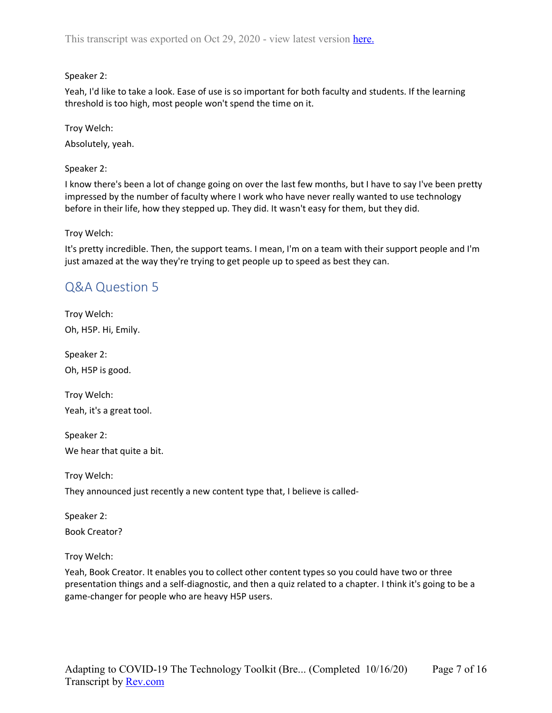Speaker 2:

Yeah, I'd like to take a look. Ease of use is so important for both faculty and students. If the learning threshold is too high, most people won't spend the time on it.

Troy Welch: Absolutely, yeah.

Speaker 2:

I know there's been a lot of change going on over the last few months, but I have to say I've been pretty impressed by the number of faculty where I work who have never really wanted to use technology before in their life, how they stepped up. They did. It wasn't easy for them, but they did.

Troy Welch:

It's pretty incredible. Then, the support teams. I mean, I'm on a team with their support people and I'm just amazed at the way they're trying to get people up to speed as best they can.

# <span id="page-6-0"></span>Q&A Question 5

Troy Welch: Oh, H5P. Hi, Emily.

Speaker 2: Oh, H5P is good.

Troy Welch: Yeah, it's a great tool.

Speaker 2: We hear that quite a bit.

Troy Welch:

They announced just recently a new content type that, I believe is called-

Speaker 2: Book Creator?

Troy Welch:

Yeah, Book Creator. It enables you to collect other content types so you could have two or three presentation things and a self-diagnostic, and then a quiz related to a chapter. I think it's going to be a game-changer for people who are heavy H5P users.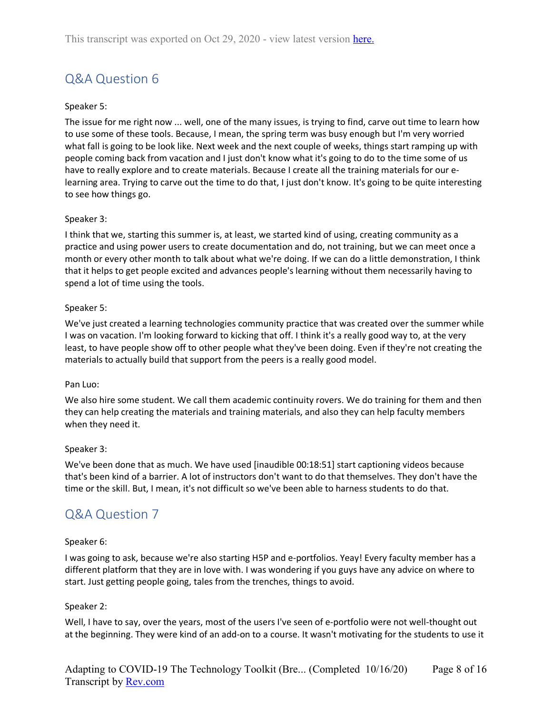# <span id="page-7-0"></span>Q&A Question 6

# Speaker 5:

The issue for me right now ... well, one of the many issues, is trying to find, carve out time to learn how to use some of these tools. Because, I mean, the spring term was busy enough but I'm very worried what fall is going to be look like. Next week and the next couple of weeks, things start ramping up with people coming back from vacation and I just don't know what it's going to do to the time some of us have to really explore and to create materials. Because I create all the training materials for our elearning area. Trying to carve out the time to do that, I just don't know. It's going to be quite interesting to see how things go.

### Speaker 3:

I think that we, starting this summer is, at least, we started kind of using, creating community as a practice and using power users to create documentation and do, not training, but we can meet once a month or every other month to talk about what we're doing. If we can do a little demonstration, I think that it helps to get people excited and advances people's learning without them necessarily having to spend a lot of time using the tools.

### Speaker 5:

We've just created a learning technologies community practice that was created over the summer while I was on vacation. I'm looking forward to kicking that off. I think it's a really good way to, at the very least, to have people show off to other people what they've been doing. Even if they're not creating the materials to actually build that support from the peers is a really good model.

#### Pan Luo:

We also hire some student. We call them academic continuity rovers. We do training for them and then they can help creating the materials and training materials, and also they can help faculty members when they need it.

#### Speaker 3:

We've been done that as much. We have used [inaudible 00:18:51] start captioning videos because that's been kind of a barrier. A lot of instructors don't want to do that themselves. They don't have the time or the skill. But, I mean, it's not difficult so we've been able to harness students to do that.

# <span id="page-7-1"></span>Q&A Question 7

#### Speaker 6:

I was going to ask, because we're also starting H5P and e-portfolios. Yeay! Every faculty member has a different platform that they are in love with. I was wondering if you guys have any advice on where to start. Just getting people going, tales from the trenches, things to avoid.

#### Speaker 2:

Well, I have to say, over the years, most of the users I've seen of e-portfolio were not well-thought out at the beginning. They were kind of an add-on to a course. It wasn't motivating for the students to use it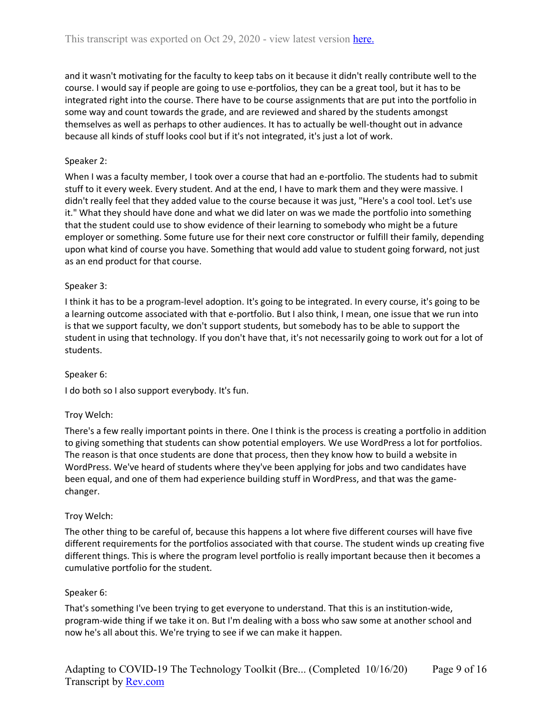and it wasn't motivating for the faculty to keep tabs on it because it didn't really contribute well to the course. I would say if people are going to use e-portfolios, they can be a great tool, but it has to be integrated right into the course. There have to be course assignments that are put into the portfolio in some way and count towards the grade, and are reviewed and shared by the students amongst themselves as well as perhaps to other audiences. It has to actually be well-thought out in advance because all kinds of stuff looks cool but if it's not integrated, it's just a lot of work.

### Speaker 2:

When I was a faculty member, I took over a course that had an e-portfolio. The students had to submit stuff to it every week. Every student. And at the end, I have to mark them and they were massive. I didn't really feel that they added value to the course because it was just, "Here's a cool tool. Let's use it." What they should have done and what we did later on was we made the portfolio into something that the student could use to show evidence of their learning to somebody who might be a future employer or something. Some future use for their next core constructor or fulfill their family, depending upon what kind of course you have. Something that would add value to student going forward, not just as an end product for that course.

#### Speaker 3:

I think it has to be a program-level adoption. It's going to be integrated. In every course, it's going to be a learning outcome associated with that e-portfolio. But I also think, I mean, one issue that we run into is that we support faculty, we don't support students, but somebody has to be able to support the student in using that technology. If you don't have that, it's not necessarily going to work out for a lot of students.

#### Speaker 6:

I do both so I also support everybody. It's fun.

#### Troy Welch:

There's a few really important points in there. One I think is the process is creating a portfolio in addition to giving something that students can show potential employers. We use WordPress a lot for portfolios. The reason is that once students are done that process, then they know how to build a website in WordPress. We've heard of students where they've been applying for jobs and two candidates have been equal, and one of them had experience building stuff in WordPress, and that was the gamechanger.

#### Troy Welch:

The other thing to be careful of, because this happens a lot where five different courses will have five different requirements for the portfolios associated with that course. The student winds up creating five different things. This is where the program level portfolio is really important because then it becomes a cumulative portfolio for the student.

#### Speaker 6:

That's something I've been trying to get everyone to understand. That this is an institution-wide, program-wide thing if we take it on. But I'm dealing with a boss who saw some at another school and now he's all about this. We're trying to see if we can make it happen.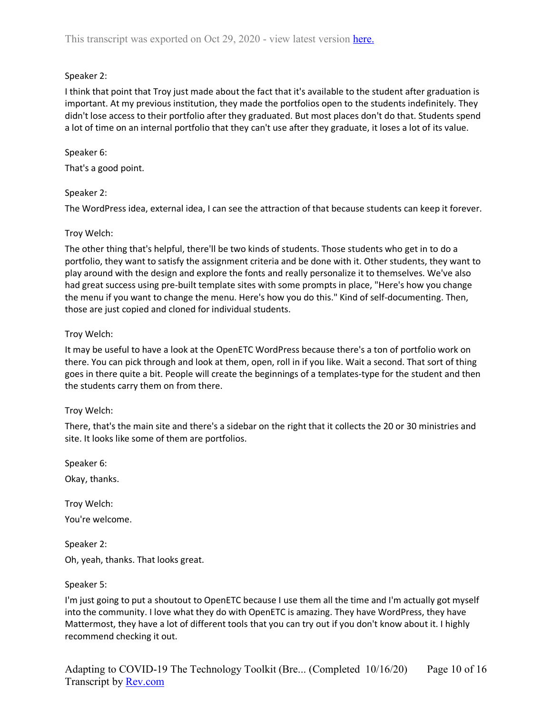# Speaker 2:

I think that point that Troy just made about the fact that it's available to the student after graduation is important. At my previous institution, they made the portfolios open to the students indefinitely. They didn't lose access to their portfolio after they graduated. But most places don't do that. Students spend a lot of time on an internal portfolio that they can't use after they graduate, it loses a lot of its value.

# Speaker 6:

That's a good point.

# Speaker 2:

The WordPress idea, external idea, I can see the attraction of that because students can keep it forever.

# Troy Welch:

The other thing that's helpful, there'll be two kinds of students. Those students who get in to do a portfolio, they want to satisfy the assignment criteria and be done with it. Other students, they want to play around with the design and explore the fonts and really personalize it to themselves. We've also had great success using pre-built template sites with some prompts in place, "Here's how you change the menu if you want to change the menu. Here's how you do this." Kind of self-documenting. Then, those are just copied and cloned for individual students.

# Troy Welch:

It may be useful to have a look at the OpenETC WordPress because there's a ton of portfolio work on there. You can pick through and look at them, open, roll in if you like. Wait a second. That sort of thing goes in there quite a bit. People will create the beginnings of a templates-type for the student and then the students carry them on from there.

# Troy Welch:

There, that's the main site and there's a sidebar on the right that it collects the 20 or 30 ministries and site. It looks like some of them are portfolios.

Speaker 6:

Okay, thanks.

Troy Welch: You're welcome.

Speaker 2: Oh, yeah, thanks. That looks great.

Speaker 5:

I'm just going to put a shoutout to OpenETC because I use them all the time and I'm actually got myself into the community. I love what they do with OpenETC is amazing. They have WordPress, they have Mattermost, they have a lot of different tools that you can try out if you don't know about it. I highly recommend checking it out.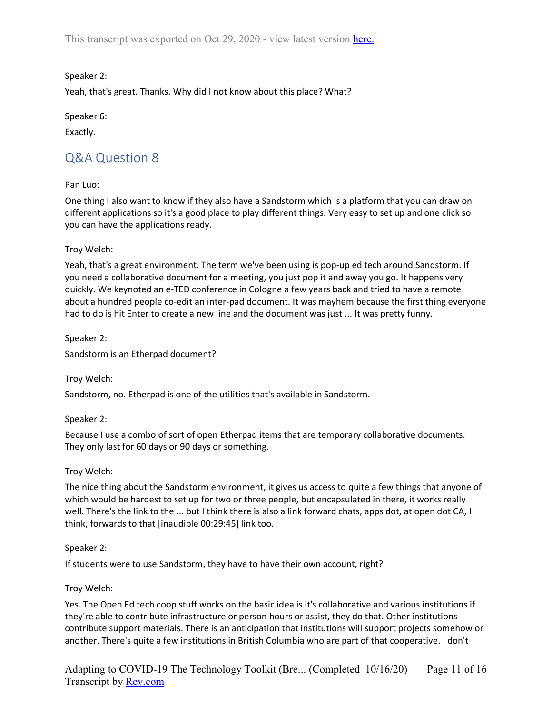Speaker 2:

Yeah, that's great. Thanks. Why did I not know about this place? What?

Speaker 6:

<span id="page-10-0"></span>Exactly.

# Q&A Question 8

# Pan Luo:

One thing I also want to know if they also have a Sandstorm which is a platform that you can draw on different applications so it's a good place to play different things. Very easy to set up and one click so you can have the applications ready.

### Troy Welch:

Yeah, that's a great environment. The term we've been using is pop-up ed tech around Sandstorm. If you need a collaborative document for a meeting, you just pop it and away you go. It happens very quickly. We keynoted an e-TED conference in Cologne a few years back and tried to have a remote about a hundred people co-edit an inter-pad document. It was mayhem because the first thing everyone had to do is hit Enter to create a new line and the document was just ... It was pretty funny.

Speaker 2:

Sandstorm is an Etherpad document?

Troy Welch:

Sandstorm, no. Etherpad is one of the utilities that's available in Sandstorm.

# Speaker 2:

Because I use a combo of sort of open Etherpad items that are temporary collaborative documents. They only last for 60 days or 90 days or something.

# Troy Welch:

The nice thing about the Sandstorm environment, it gives us access to quite a few things that anyone of which would be hardest to set up for two or three people, but encapsulated in there, it works really well. There's the link to the ... but I think there is also a link forward chats, apps dot, at open dot CA, I think, forwards to that [inaudible 00:29:45] link too.

# Speaker 2:

If students were to use Sandstorm, they have to have their own account, right?

# Troy Welch:

Yes. The Open Ed tech coop stuff works on the basic idea is it's collaborative and various institutions if they're able to contribute infrastructure or person hours or assist, they do that. Other institutions contribute support materials. There is an anticipation that institutions will support projects somehow or another. There's quite a few institutions in British Columbia who are part of that cooperative. I don't

Adapting to COVID-19 The Technology Toolkit (Bre... (Completed 10/16/20) Transcript by **Rev.com** Page 11 of 16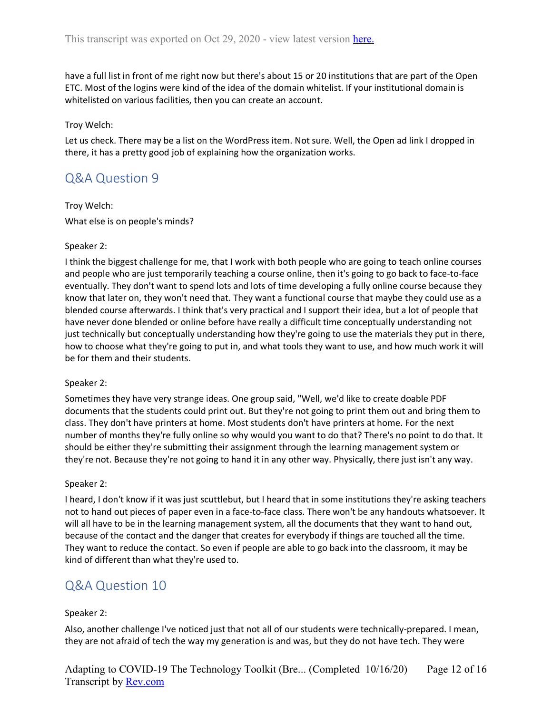have a full list in front of me right now but there's about 15 or 20 institutions that are part of the Open ETC. Most of the logins were kind of the idea of the domain whitelist. If your institutional domain is whitelisted on various facilities, then you can create an account.

#### Troy Welch:

Let us check. There may be a list on the WordPress item. Not sure. Well, the Open ad link I dropped in there, it has a pretty good job of explaining how the organization works.

# <span id="page-11-0"></span>Q&A Question 9

Troy Welch: What else is on people's minds?

#### Speaker 2:

I think the biggest challenge for me, that I work with both people who are going to teach online courses and people who are just temporarily teaching a course online, then it's going to go back to face-to-face eventually. They don't want to spend lots and lots of time developing a fully online course because they know that later on, they won't need that. They want a functional course that maybe they could use as a blended course afterwards. I think that's very practical and I support their idea, but a lot of people that have never done blended or online before have really a difficult time conceptually understanding not just technically but conceptually understanding how they're going to use the materials they put in there, how to choose what they're going to put in, and what tools they want to use, and how much work it will be for them and their students.

#### Speaker 2:

Sometimes they have very strange ideas. One group said, "Well, we'd like to create doable PDF documents that the students could print out. But they're not going to print them out and bring them to class. They don't have printers at home. Most students don't have printers at home. For the next number of months they're fully online so why would you want to do that? There's no point to do that. It should be either they're submitting their assignment through the learning management system or they're not. Because they're not going to hand it in any other way. Physically, there just isn't any way.

#### Speaker 2:

I heard, I don't know if it was just scuttlebut, but I heard that in some institutions they're asking teachers not to hand out pieces of paper even in a face-to-face class. There won't be any handouts whatsoever. It will all have to be in the learning management system, all the documents that they want to hand out, because of the contact and the danger that creates for everybody if things are touched all the time. They want to reduce the contact. So even if people are able to go back into the classroom, it may be kind of different than what they're used to.

# <span id="page-11-1"></span>Q&A Question 10

#### Speaker 2:

Also, another challenge I've noticed just that not all of our students were technically-prepared. I mean, they are not afraid of tech the way my generation is and was, but they do not have tech. They were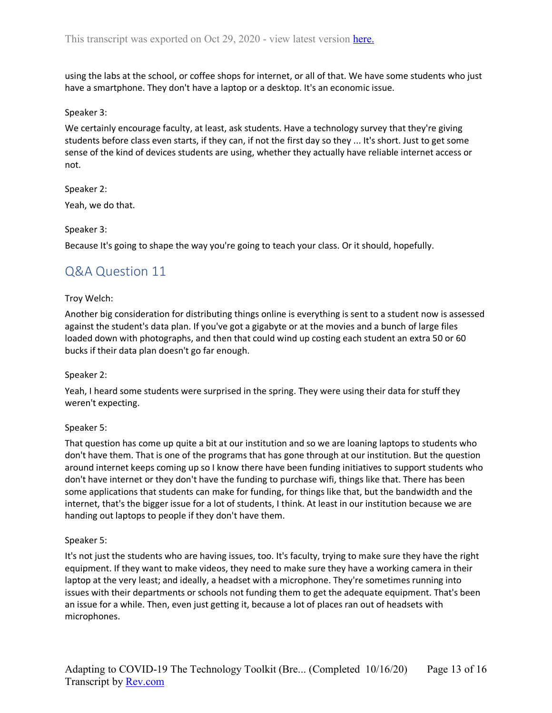using the labs at the school, or coffee shops for internet, or all of that. We have some students who just have a smartphone. They don't have a laptop or a desktop. It's an economic issue.

#### Speaker 3:

We certainly encourage faculty, at least, ask students. Have a technology survey that they're giving students before class even starts, if they can, if not the first day so they ... It's short. Just to get some sense of the kind of devices students are using, whether they actually have reliable internet access or not.

# Speaker 2:

Yeah, we do that.

### Speaker 3:

<span id="page-12-0"></span>Because It's going to shape the way you're going to teach your class. Or it should, hopefully.

# Q&A Question 11

### Troy Welch:

Another big consideration for distributing things online is everything is sent to a student now is assessed against the student's data plan. If you've got a gigabyte or at the movies and a bunch of large files loaded down with photographs, and then that could wind up costing each student an extra 50 or 60 bucks if their data plan doesn't go far enough.

#### Speaker 2:

Yeah, I heard some students were surprised in the spring. They were using their data for stuff they weren't expecting.

# Speaker 5:

That question has come up quite a bit at our institution and so we are loaning laptops to students who don't have them. That is one of the programs that has gone through at our institution. But the question around internet keeps coming up so I know there have been funding initiatives to support students who don't have internet or they don't have the funding to purchase wifi, things like that. There has been some applications that students can make for funding, for things like that, but the bandwidth and the internet, that's the bigger issue for a lot of students, I think. At least in our institution because we are handing out laptops to people if they don't have them.

#### Speaker 5:

It's not just the students who are having issues, too. It's faculty, trying to make sure they have the right equipment. If they want to make videos, they need to make sure they have a working camera in their laptop at the very least; and ideally, a headset with a microphone. They're sometimes running into issues with their departments or schools not funding them to get the adequate equipment. That's been an issue for a while. Then, even just getting it, because a lot of places ran out of headsets with microphones.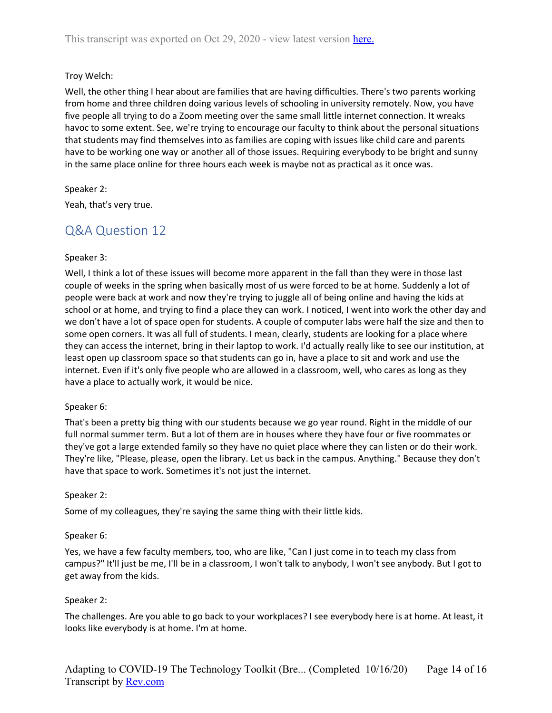# Troy Welch:

Well, the other thing I hear about are families that are having difficulties. There's two parents working from home and three children doing various levels of schooling in university remotely. Now, you have five people all trying to do a Zoom meeting over the same small little internet connection. It wreaks havoc to some extent. See, we're trying to encourage our faculty to think about the personal situations that students may find themselves into as families are coping with issues like child care and parents have to be working one way or another all of those issues. Requiring everybody to be bright and sunny in the same place online for three hours each week is maybe not as practical as it once was.

Speaker 2:

<span id="page-13-0"></span>Yeah, that's very true.

# Q&A Question 12

#### Speaker 3:

Well, I think a lot of these issues will become more apparent in the fall than they were in those last couple of weeks in the spring when basically most of us were forced to be at home. Suddenly a lot of people were back at work and now they're trying to juggle all of being online and having the kids at school or at home, and trying to find a place they can work. I noticed, I went into work the other day and we don't have a lot of space open for students. A couple of computer labs were half the size and then to some open corners. It was all full of students. I mean, clearly, students are looking for a place where they can access the internet, bring in their laptop to work. I'd actually really like to see our institution, at least open up classroom space so that students can go in, have a place to sit and work and use the internet. Even if it's only five people who are allowed in a classroom, well, who cares as long as they have a place to actually work, it would be nice.

#### Speaker 6:

That's been a pretty big thing with our students because we go year round. Right in the middle of our full normal summer term. But a lot of them are in houses where they have four or five roommates or they've got a large extended family so they have no quiet place where they can listen or do their work. They're like, "Please, please, open the library. Let us back in the campus. Anything." Because they don't have that space to work. Sometimes it's not just the internet.

#### Speaker 2:

Some of my colleagues, they're saying the same thing with their little kids.

#### Speaker 6:

Yes, we have a few faculty members, too, who are like, "Can I just come in to teach my class from campus?" It'll just be me, I'll be in a classroom, I won't talk to anybody, I won't see anybody. But I got to get away from the kids.

# Speaker 2:

The challenges. Are you able to go back to your workplaces? I see everybody here is at home. At least, it looks like everybody is at home. I'm at home.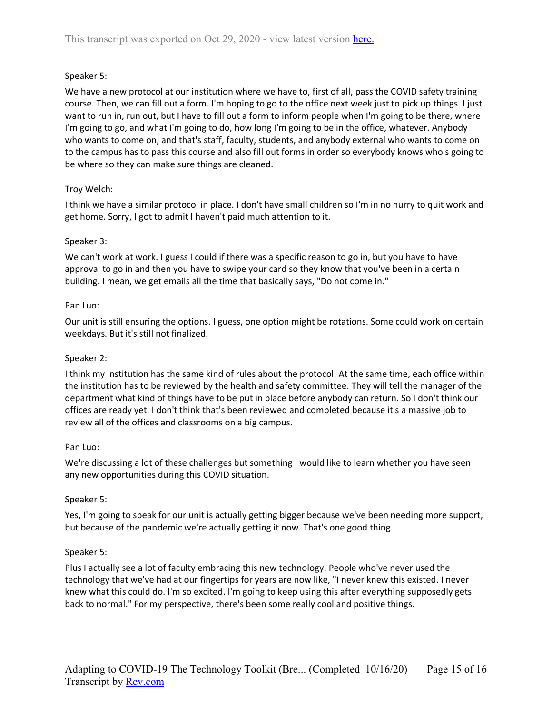# Speaker 5:

We have a new protocol at our institution where we have to, first of all, pass the COVID safety training course. Then, we can fill out a form. I'm hoping to go to the office next week just to pick up things. I just want to run in, run out, but I have to fill out a form to inform people when I'm going to be there, where I'm going to go, and what I'm going to do, how long I'm going to be in the office, whatever. Anybody who wants to come on, and that's staff, faculty, students, and anybody external who wants to come on to the campus has to pass this course and also fill out forms in order so everybody knows who's going to be where so they can make sure things are cleaned.

# Troy Welch:

I think we have a similar protocol in place. I don't have small children so I'm in no hurry to quit work and get home. Sorry, I got to admit I haven't paid much attention to it.

# Speaker 3:

We can't work at work. I guess I could if there was a specific reason to go in, but you have to have approval to go in and then you have to swipe your card so they know that you've been in a certain building. I mean, we get emails all the time that basically says, "Do not come in."

# Pan Luo:

Our unit is still ensuring the options. I guess, one option might be rotations. Some could work on certain weekdays. But it's still not finalized.

# Speaker 2:

I think my institution has the same kind of rules about the protocol. At the same time, each office within the institution has to be reviewed by the health and safety committee. They will tell the manager of the department what kind of things have to be put in place before anybody can return. So I don't think our offices are ready yet. I don't think that's been reviewed and completed because it's a massive job to review all of the offices and classrooms on a big campus.

# Pan Luo:

We're discussing a lot of these challenges but something I would like to learn whether you have seen any new opportunities during this COVID situation.

# Speaker 5:

Yes, I'm going to speak for our unit is actually getting bigger because we've been needing more support, but because of the pandemic we're actually getting it now. That's one good thing.

# Speaker 5:

Plus I actually see a lot of faculty embracing this new technology. People who've never used the technology that we've had at our fingertips for years are now like, "I never knew this existed. I never knew what this could do. I'm so excited. I'm going to keep using this after everything supposedly gets back to normal." For my perspective, there's been some really cool and positive things.